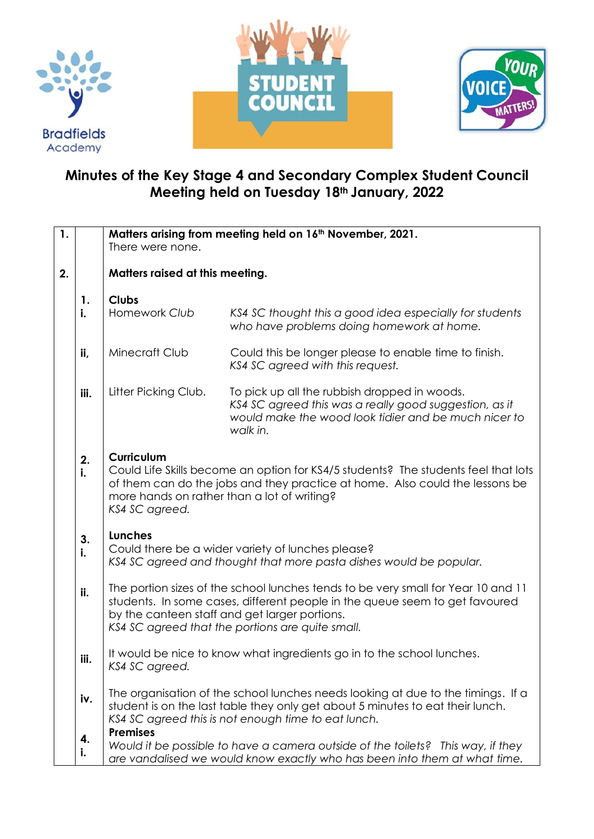





## **Minutes of the Key Stage 4 and Secondary Complex Student Council Meeting held on Tuesday 18th January, 2022**

| 1. |          |                                                                                    | Matters arising from meeting held on 16 <sup>th</sup> November, 2021.                                                                                                                                                                                                 |
|----|----------|------------------------------------------------------------------------------------|-----------------------------------------------------------------------------------------------------------------------------------------------------------------------------------------------------------------------------------------------------------------------|
|    |          | There were none.                                                                   |                                                                                                                                                                                                                                                                       |
| 2. |          | Matters raised at this meeting.                                                    |                                                                                                                                                                                                                                                                       |
|    | 1.       | <b>Clubs</b>                                                                       |                                                                                                                                                                                                                                                                       |
|    | i.       | Homework Club                                                                      | KS4 SC thought this a good idea especially for students<br>who have problems doing homework at home.                                                                                                                                                                  |
|    | ii,      | Minecraft Club                                                                     | Could this be longer please to enable time to finish.<br>KS4 SC agreed with this request.                                                                                                                                                                             |
|    | iii.     | Litter Picking Club.                                                               | To pick up all the rubbish dropped in woods.<br>KS4 SC agreed this was a really good suggestion, as it<br>would make the wood look tidier and be much nicer to<br>walk in.                                                                                            |
|    | 2.<br>i. | <b>Curriculum</b><br>more hands on rather than a lot of writing?<br>KS4 SC agreed. | Could Life Skills become an option for KS4/5 students? The students feel that lots<br>of them can do the jobs and they practice at home. Also could the lessons be                                                                                                    |
|    | 3.<br>i. | Lunches                                                                            | Could there be a wider variety of lunches please?<br>KS4 SC agreed and thought that more pasta dishes would be popular.                                                                                                                                               |
|    | ii.      |                                                                                    | The portion sizes of the school lunches tends to be very small for Year 10 and 11<br>students. In some cases, different people in the queue seem to get favoured<br>by the canteen staff and get larger portions.<br>KS4 SC agreed that the portions are quite small. |
|    | iii.     | KS4 SC agreed.                                                                     | It would be nice to know what ingredients go in to the school lunches.                                                                                                                                                                                                |
|    | iv.      |                                                                                    | The organisation of the school lunches needs looking at due to the timings. If a<br>student is on the last table they only get about 5 minutes to eat their lunch.<br>KS4 SC agreed this is not enough time to eat lunch.                                             |
|    | 4.<br>i. | <b>Premises</b>                                                                    | Would it be possible to have a camera outside of the toilets? This way, if they<br>are vandalised we would know exactly who has been into them at what time.                                                                                                          |